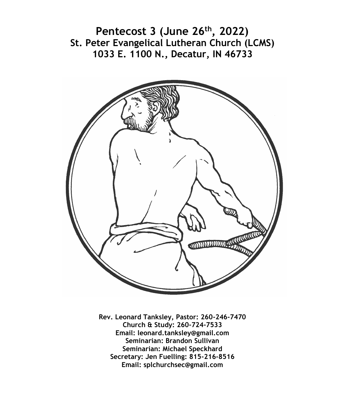**Pentecost 3 (June 26th, 2022) St. Peter Evangelical Lutheran Church (LCMS) 1033 E. 1100 N., Decatur, IN 46733**



**Rev. Leonard Tanksley, Pastor: 260-246-7470 Church & Study: 260-724-7533 Email: leonard.tanksley@gmail.com Seminarian: Brandon Sullivan Seminarian: Michael Speckhard Secretary: Jen Fuelling: 815-216-8516 Email: splchurchsec@gmail.com**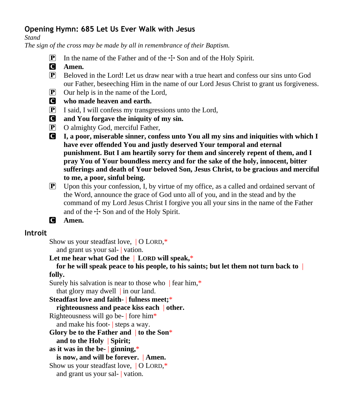## **Opening Hymn: 685 Let Us Ever Walk with Jesus**

*Stand*

*The sign of the cross may be made by all in remembrance of their Baptism.*

- **P** In the name of the Father and of the  $\pm$  Son and of the Holy Spirit.
- C **Amen.**
- P Beloved in the Lord! Let us draw near with a true heart and confess our sins unto God our Father, beseeching Him in the name of our Lord Jesus Christ to grant us forgiveness.
- P Our help is in the name of the Lord,
- C **who made heaven and earth.**
- P I said, I will confess my transgressions unto the Lord,
- C **and You forgave the iniquity of my sin.**
- P O almighty God, merciful Father,
- C **I, a poor, miserable sinner, confess unto You all my sins and iniquities with which I have ever offended You and justly deserved Your temporal and eternal punishment. But I am heartily sorry for them and sincerely repent of them, and I pray You of Your boundless mercy and for the sake of the holy, innocent, bitter sufferings and death of Your beloved Son, Jesus Christ, to be gracious and merciful to me, a poor, sinful being.**
- P Upon this your confession, I, by virtue of my office, as a called and ordained servant of the Word, announce the grace of God unto all of you, and in the stead and by the command of my Lord Jesus Christ I forgive you all your sins in the name of the Father and of the  $\pm$  Son and of the Holy Spirit.
- C **Amen.**

## **Introit**

Show us your steadfast love, | O LORD,\*

and grant us your sal- | vation.

**Let me hear what God the** | **LORD will speak,**\*

**for he will speak peace to his people, to his saints; but let them not turn back to** | **folly.**

Surely his salvation is near to those who  $\parallel$  fear him,\*

that glory may dwell | in our land.

**Steadfast love and faith-** | **fulness meet;**\*

**righteousness and peace kiss each** | **other.**

Righteousness will go be- $|$  fore him\*

and make his foot- | steps a way.

**Glory be to the Father and** | **to the Son**\*

**and to the Holy** | **Spirit;**

**as it was in the be-** | **ginning,**\*

**is now, and will be forever.** | **Amen.**

Show us your steadfast love, | O LORD,\*

and grant us your sal- | vation.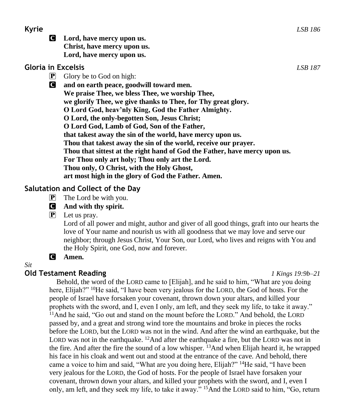C **Lord, have mercy upon us. Christ, have mercy upon us. Lord, have mercy upon us.**

## **Gloria in Excelsis** *LSB 187*

 $\boxed{\mathbf{P}}$  Glory be to God on high:

C **and on earth peace, goodwill toward men. We praise Thee, we bless Thee, we worship Thee, we glorify Thee, we give thanks to Thee, for Thy great glory. O Lord God, heav'nly King, God the Father Almighty. O Lord, the only-begotten Son, Jesus Christ; O Lord God, Lamb of God, Son of the Father, that takest away the sin of the world, have mercy upon us. Thou that takest away the sin of the world, receive our prayer. Thou that sittest at the right hand of God the Father, have mercy upon us. For Thou only art holy; Thou only art the Lord. Thou only, O Christ, with the Holy Ghost, art most high in the glory of God the Father. Amen.**

## **Salutation and Collect of the Day**

- $\mathbf{P}$  The Lord be with you.
- C **And with thy spirit.**
- $\left| \mathbf{P} \right|$  Let us pray.

Lord of all power and might, author and giver of all good things, graft into our hearts the love of Your name and nourish us with all goodness that we may love and serve our neighbor; through Jesus Christ, Your Son, our Lord, who lives and reigns with You and the Holy Spirit, one God, now and forever.

## C **Amen.**

### *Sit*

## **Old Testament Reading** *1 Kings 19:9b–21*

Behold, the word of the LORD came to [Elijah], and he said to him, "What are you doing here, Elijah?" <sup>10</sup>He said, "I have been very jealous for the LORD, the God of hosts. For the people of Israel have forsaken your covenant, thrown down your altars, and killed your prophets with the sword, and I, even I only, am left, and they seek my life, to take it away." <sup>11</sup>And he said, "Go out and stand on the mount before the LORD." And behold, the LORD passed by, and a great and strong wind tore the mountains and broke in pieces the rocks before the LORD, but the LORD was not in the wind. And after the wind an earthquake, but the LORD was not in the earthquake. <sup>12</sup>And after the earthquake a fire, but the LORD was not in the fire. And after the fire the sound of a low whisper.  $^{13}$ And when Elijah heard it, he wrapped his face in his cloak and went out and stood at the entrance of the cave. And behold, there came a voice to him and said, "What are you doing here, Elijah?" <sup>14</sup>He said, "I have been very jealous for the LORD, the God of hosts. For the people of Israel have forsaken your covenant, thrown down your altars, and killed your prophets with the sword, and I, even I only, am left, and they seek my life, to take it away." <sup>15</sup>And the LORD said to him, "Go, return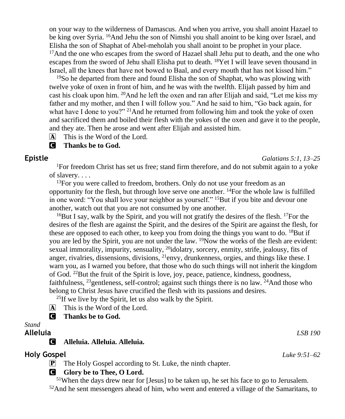on your way to the wilderness of Damascus. And when you arrive, you shall anoint Hazael to be king over Syria. <sup>16</sup>And Jehu the son of Nimshi you shall anoint to be king over Israel, and Elisha the son of Shaphat of Abel-meholah you shall anoint to be prophet in your place. <sup>17</sup>And the one who escapes from the sword of Hazael shall Jehu put to death, and the one who escapes from the sword of Jehu shall Elisha put to death.  $^{18}$ Yet I will leave seven thousand in Israel, all the knees that have not bowed to Baal, and every mouth that has not kissed him."

<sup>19</sup>So he departed from there and found Elisha the son of Shaphat, who was plowing with twelve yoke of oxen in front of him, and he was with the twelfth. Elijah passed by him and cast his cloak upon him. <sup>20</sup>And he left the oxen and ran after Elijah and said, "Let me kiss my father and my mother, and then I will follow you." And he said to him, "Go back again, for what have I done to you?" <sup>21</sup>And he returned from following him and took the yoke of oxen and sacrificed them and boiled their flesh with the yokes of the oxen and gave it to the people, and they ate. Then he arose and went after Elijah and assisted him.

 $\overline{A}$  This is the Word of the Lord.

#### C **Thanks be to God.**

## **Epistle** *Galatians 5:1, 13–25*

<sup>1</sup>For freedom Christ has set us free; stand firm therefore, and do not submit again to a yoke of slavery. . . .

 $13$ For you were called to freedom, brothers. Only do not use your freedom as an opportunity for the flesh, but through love serve one another.  $14$ For the whole law is fulfilled in one word: "You shall love your neighbor as yourself."  $^{15}$ But if you bite and devour one another, watch out that you are not consumed by one another.

<sup>16</sup>But I say, walk by the Spirit, and you will not gratify the desires of the flesh. <sup>17</sup>For the desires of the flesh are against the Spirit, and the desires of the Spirit are against the flesh, for these are opposed to each other, to keep you from doing the things you want to do.  $^{18}$ But if you are led by the Spirit, you are not under the law.  $\frac{19}{2}$ Now the works of the flesh are evident: sexual immorality, impurity, sensuality,  $^{20}$ idolatry, sorcery, enmity, strife, jealousy, fits of anger, rivalries, dissensions, divisions, <sup>21</sup>envy, drunkenness, orgies, and things like these. I warn you, as I warned you before, that those who do such things will not inherit the kingdom of God.  $^{22}$ But the fruit of the Spirit is love, joy, peace, patience, kindness, goodness, faithfulness,  $^{23}$ gentleness, self-control; against such things there is no law.  $^{24}$ And those who belong to Christ Jesus have crucified the flesh with its passions and desires.

<sup>25</sup>If we live by the Spirit, let us also walk by the Spirit.

A This is the Word of the Lord.

## C **Thanks be to God.**

## *Stand*

### C **Alleluia. Alleluia. Alleluia.**

### **Holy Gospel** *Luke 9:51–62*

P The Holy Gospel according to St. Luke, the ninth chapter.

### **G** Glory be to Thee, O Lord.

<sup>51</sup>When the days drew near for [Jesus] to be taken up, he set his face to go to Jerusalem. 52And he sent messengers ahead of him, who went and entered a village of the Samaritans, to

**Alleluia** *LSB 190*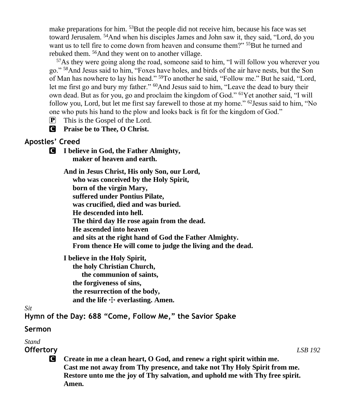make preparations for him. <sup>53</sup>But the people did not receive him, because his face was set toward Jerusalem. <sup>54</sup>And when his disciples James and John saw it, they said, "Lord, do you want us to tell fire to come down from heaven and consume them?" <sup>55</sup>But he turned and rebuked them. <sup>56</sup>And they went on to another village.

<sup>57</sup>As they were going along the road, someone said to him, "I will follow you wherever you go." <sup>58</sup>And Jesus said to him, "Foxes have holes, and birds of the air have nests, but the Son of Man has nowhere to lay his head." <sup>59</sup>To another he said, "Follow me." But he said, "Lord, let me first go and bury my father." <sup>60</sup>And Jesus said to him, "Leave the dead to bury their own dead. But as for you, go and proclaim the kingdom of God." <sup>61</sup>Yet another said, "I will follow you, Lord, but let me first say farewell to those at my home." <sup>62</sup>Jesus said to him, "No one who puts his hand to the plow and looks back is fit for the kingdom of God."

P This is the Gospel of the Lord.

C **Praise be to Thee, O Christ.**

## **Apostles' Creed**

C **I believe in God, the Father Almighty, maker of heaven and earth.**

> **And in Jesus Christ, His only Son, our Lord, who was conceived by the Holy Spirit, born of the virgin Mary, suffered under Pontius Pilate, was crucified, died and was buried. He descended into hell. The third day He rose again from the dead. He ascended into heaven and sits at the right hand of God the Father Almighty. From thence He will come to judge the living and the dead.**

**I believe in the Holy Spirit,**

 **the holy Christian Church, the communion of saints, the forgiveness of sins, the resurrection of the body,** and the life  $\div$  everlasting. Amen.

#### *Sit*

**Hymn of the Day: 688 "Come, Follow Me," the Savior Spake**

## **Sermon**

# *Stand*

**Offertory** *LSB 192*

C **Create in me a clean heart, O God, and renew a right spirit within me. Cast me not away from Thy presence, and take not Thy Holy Spirit from me. Restore unto me the joy of Thy salvation, and uphold me with Thy free spirit. Amen.**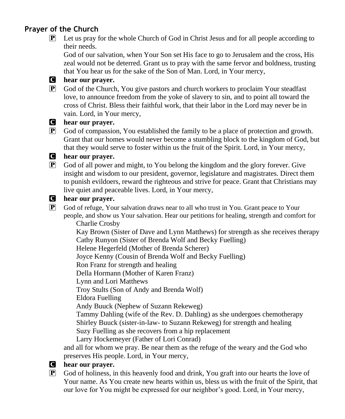## **Prayer of the Church**

P Let us pray for the whole Church of God in Christ Jesus and for all people according to their needs.

God of our salvation, when Your Son set His face to go to Jerusalem and the cross, His zeal would not be deterred. Grant us to pray with the same fervor and boldness, trusting that You hear us for the sake of the Son of Man. Lord, in Your mercy,

## C **hear our prayer.**

P God of the Church, You give pastors and church workers to proclaim Your steadfast love, to announce freedom from the yoke of slavery to sin, and to point all toward the cross of Christ. Bless their faithful work, that their labor in the Lord may never be in vain. Lord, in Your mercy,

### C **hear our prayer.**

P God of compassion, You established the family to be a place of protection and growth. Grant that our homes would never become a stumbling block to the kingdom of God, but that they would serve to foster within us the fruit of the Spirit. Lord, in Your mercy,

## C **hear our prayer.**

P God of all power and might, to You belong the kingdom and the glory forever. Give insight and wisdom to our president, governor, legislature and magistrates. Direct them to punish evildoers, reward the righteous and strive for peace. Grant that Christians may live quiet and peaceable lives. Lord, in Your mercy,

### C **hear our prayer.**

P God of refuge, Your salvation draws near to all who trust in You. Grant peace to Your people, and show us Your salvation. Hear our petitions for healing, strength and comfort for

 Charlie Crosby Kay Brown (Sister of Dave and Lynn Matthews) for strength as she receives therapy Cathy Runyon (Sister of Brenda Wolf and Becky Fuelling) Helene Hegerfeld (Mother of Brenda Scherer) Joyce Kenny (Cousin of Brenda Wolf and Becky Fuelling) Ron Franz for strength and healing Della Hormann (Mother of Karen Franz) Lynn and Lori Matthews Troy Stults (Son of Andy and Brenda Wolf) Eldora Fuelling Andy Buuck (Nephew of Suzann Rekeweg) Tammy Dahling (wife of the Rev. D. Dahling) as she undergoes chemotherapy Shirley Buuck (sister-in-law- to Suzann Rekeweg) for strength and healing Suzy Fuelling as she recovers from a hip replacement Larry Hockemeyer (Father of Lori Conrad)

and all for whom we pray. Be near them as the refuge of the weary and the God who preserves His people. Lord, in Your mercy,

## C **hear our prayer.**

P God of holiness, in this heavenly food and drink, You graft into our hearts the love of Your name. As You create new hearts within us, bless us with the fruit of the Spirit, that our love for You might be expressed for our neighbor's good. Lord, in Your mercy,

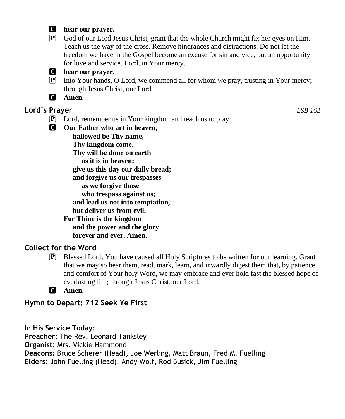### C **hear our prayer.**

P God of our Lord Jesus Christ, grant that the whole Church might fix her eyes on Him. Teach us the way of the cross. Remove hindrances and distractions. Do not let the freedom we have in the Gospel become an excuse for sin and vice, but an opportunity for love and service. Lord, in Your mercy,



## C **hear our prayer.**

- P Into Your hands, O Lord, we commend all for whom we pray, trusting in Your mercy; through Jesus Christ, our Lord.
- C **Amen.**

## **Lord's Prayer** *LSB 162*

- P Lord, remember us in Your kingdom and teach us to pray:
- C **Our Father who art in heaven,**

 **hallowed be Thy name,**

 **Thy kingdom come,**

 **Thy will be done on earth**

 **as it is in heaven;**

 **give us this day our daily bread;**

 **and forgive us our trespasses**

 **as we forgive those**

 **who trespass against us;**

 **and lead us not into temptation,**

 **but deliver us from evil.**

**For Thine is the kingdom**

 **and the power and the glory**

 **forever and ever. Amen.**

## **Collect for the Word**

P Blessed Lord, You have caused all Holy Scriptures to be written for our learning. Grant that we may so hear them, read, mark, learn, and inwardly digest them that, by patience and comfort of Your holy Word, we may embrace and ever hold fast the blessed hope of everlasting life; through Jesus Christ, our Lord.

C **Amen.**

**Hymn to Depart: 712 Seek Ye First**

**In His Service Today: Preacher:** The Rev. Leonard Tanksley **Organist:** Mrs. Vickie Hammond **Deacons:** Bruce Scherer (Head), Joe Werling, Matt Braun, Fred M. Fuelling **Elders:** John Fuelling (Head), Andy Wolf, Rod Busick, Jim Fuelling